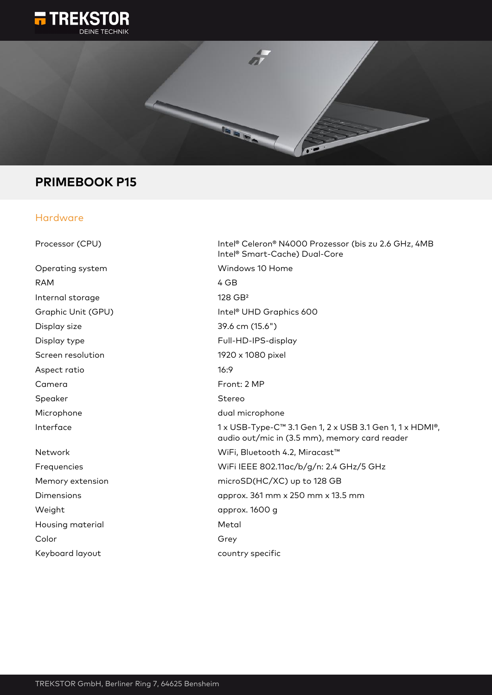



# **PRIMEBOOK P15**

## Hardware

| Processor (CPU)    | Intel® Celeron® N4000 Prozessor (bis zu 2.6 GHz, 4MB<br>Intel <sup>®</sup> Smart-Cache) Dual-Core         |
|--------------------|-----------------------------------------------------------------------------------------------------------|
| Operating system   | Windows 10 Home                                                                                           |
| <b>RAM</b>         | 4 GB                                                                                                      |
| Internal storage   | $128$ GB <sup>2</sup>                                                                                     |
| Graphic Unit (GPU) | Intel <sup>®</sup> UHD Graphics 600                                                                       |
| Display size       | 39.6 cm (15.6")                                                                                           |
| Display type       | Full-HD-IPS-display                                                                                       |
| Screen resolution  | 1920 x 1080 pixel                                                                                         |
| Aspect ratio       | 16:9                                                                                                      |
| Camera             | Front: 2 MP                                                                                               |
| Speaker            | Stereo                                                                                                    |
| Microphone         | dual microphone                                                                                           |
| Interface          | 1 x USB-Type-C™ 3.1 Gen 1, 2 x USB 3.1 Gen 1, 1 x HDMI®,<br>audio out/mic in (3.5 mm), memory card reader |
| Network            | WiFi, Bluetooth 4.2, Miracast™                                                                            |
| Frequencies        | WiFi IEEE 802.11ac/b/g/n: 2.4 GHz/5 GHz                                                                   |
| Memory extension   | microSD(HC/XC) up to 128 GB                                                                               |
| Dimensions         | approx. 361 mm x 250 mm x 13.5 mm                                                                         |
| Weight             | approx. 1600 g                                                                                            |
| Housing material   | Metal                                                                                                     |
| Color              | Grey                                                                                                      |
| Keyboard layout    | country specific                                                                                          |